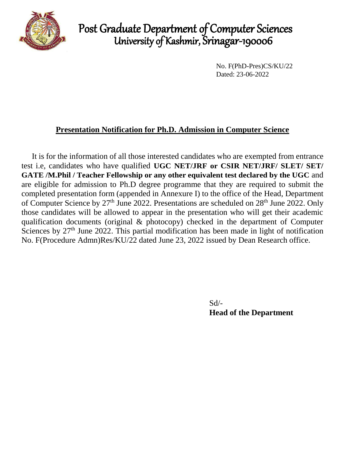

## Post Graduate Department of Computer Sciences University of Kashmir, Srinagar-190006

No. F(PhD-Pres)CS/KU/22 Dated: 23-06-2022

### **Presentation Notification for Ph.D. Admission in Computer Science**

It is for the information of all those interested candidates who are exempted from entrance test i.e, candidates who have qualified **UGC NET/JRF or CSIR NET/JRF/ SLET/ SET/ GATE /M.Phil / Teacher Fellowship or any other equivalent test declared by the UGC** and are eligible for admission to Ph.D degree programme that they are required to submit the completed presentation form (appended in Annexure I) to the office of the Head, Department of Computer Science by 27<sup>th</sup> June 2022. Presentations are scheduled on 28<sup>th</sup> June 2022. Only those candidates will be allowed to appear in the presentation who will get their academic qualification documents (original & photocopy) checked in the department of Computer Sciences by  $27<sup>th</sup>$  June 2022. This partial modification has been made in light of notification No. F(Procedure Admn)Res/KU/22 dated June 23, 2022 issued by Dean Research office.

> Sd/- **Head of the Department**